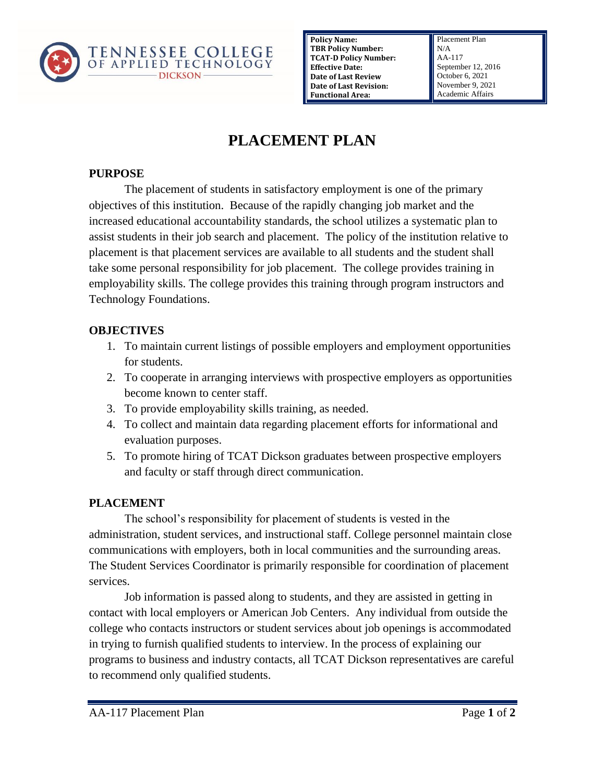

**Policy Name: TBR Policy Number: TCAT-D Policy Number: Effective Date: Date of Last Review Date of Last Revision: Functional Area:**

Placement Plan N/A AA-117 September 12, 2016 October 6, 2021 November 9, 2021 Academic Affairs

# **PLACEMENT PLAN**

### **PURPOSE**

The placement of students in satisfactory employment is one of the primary objectives of this institution. Because of the rapidly changing job market and the increased educational accountability standards, the school utilizes a systematic plan to assist students in their job search and placement. The policy of the institution relative to placement is that placement services are available to all students and the student shall take some personal responsibility for job placement. The college provides training in employability skills. The college provides this training through program instructors and Technology Foundations.

#### **OBJECTIVES**

- 1. To maintain current listings of possible employers and employment opportunities for students.
- 2. To cooperate in arranging interviews with prospective employers as opportunities become known to center staff.
- 3. To provide employability skills training, as needed.
- 4. To collect and maintain data regarding placement efforts for informational and evaluation purposes.
- 5. To promote hiring of TCAT Dickson graduates between prospective employers and faculty or staff through direct communication.

## **PLACEMENT**

The school's responsibility for placement of students is vested in the administration, student services, and instructional staff. College personnel maintain close communications with employers, both in local communities and the surrounding areas. The Student Services Coordinator is primarily responsible for coordination of placement services.

Job information is passed along to students, and they are assisted in getting in contact with local employers or American Job Centers. Any individual from outside the college who contacts instructors or student services about job openings is accommodated in trying to furnish qualified students to interview. In the process of explaining our programs to business and industry contacts, all TCAT Dickson representatives are careful to recommend only qualified students.